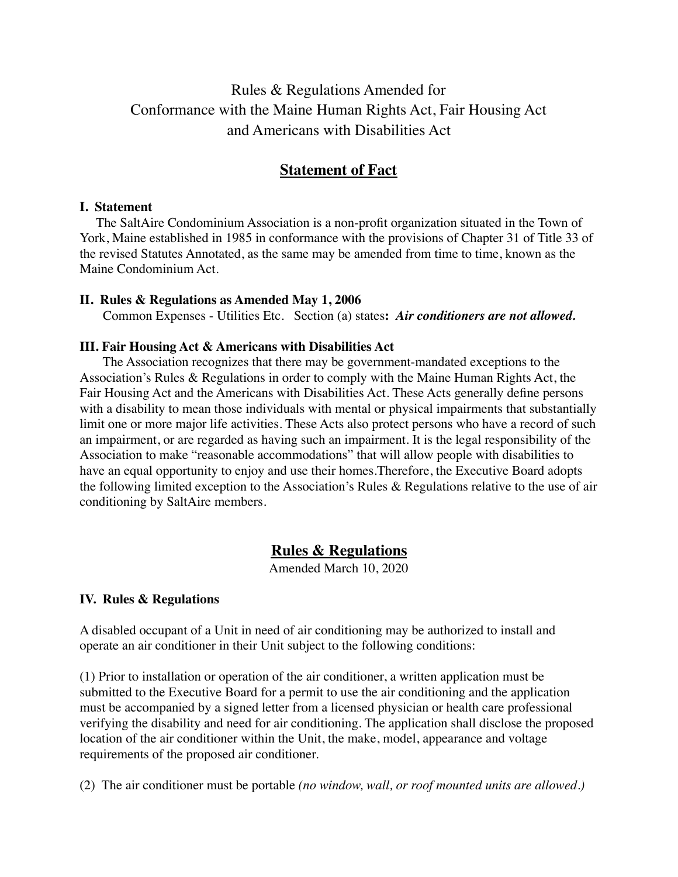# Rules & Regulations Amended for Conformance with the Maine Human Rights Act, Fair Housing Act and Americans with Disabilities Act

## **Statement of Fact**

#### **I. Statement**

 The SaltAire Condominium Association is a non-profit organization situated in the Town of York, Maine established in 1985 in conformance with the provisions of Chapter 31 of Title 33 of the revised Statutes Annotated, as the same may be amended from time to time, known as the Maine Condominium Act.

#### **II. Rules & Regulations as Amended May 1, 2006**

Common Expenses - Utilities Etc. Section (a) states**:** *Air conditioners are not allowed.*

#### **III. Fair Housing Act & Americans with Disabilities Act**

 The Association recognizes that there may be government-mandated exceptions to the Association's Rules & Regulations in order to comply with the Maine Human Rights Act, the Fair Housing Act and the Americans with Disabilities Act. These Acts generally define persons with a disability to mean those individuals with mental or physical impairments that substantially limit one or more major life activities. These Acts also protect persons who have a record of such an impairment, or are regarded as having such an impairment. It is the legal responsibility of the Association to make "reasonable accommodations" that will allow people with disabilities to have an equal opportunity to enjoy and use their homes.Therefore, the Executive Board adopts the following limited exception to the Association's Rules & Regulations relative to the use of air conditioning by SaltAire members.

### **Rules & Regulations**

Amended March 10, 2020

### **IV. Rules & Regulations**

A disabled occupant of a Unit in need of air conditioning may be authorized to install and operate an air conditioner in their Unit subject to the following conditions:

(1) Prior to installation or operation of the air conditioner, a written application must be submitted to the Executive Board for a permit to use the air conditioning and the application must be accompanied by a signed letter from a licensed physician or health care professional verifying the disability and need for air conditioning. The application shall disclose the proposed location of the air conditioner within the Unit, the make, model, appearance and voltage requirements of the proposed air conditioner.

(2) The air conditioner must be portable *(no window, wall, or roof mounted units are allowed.)*